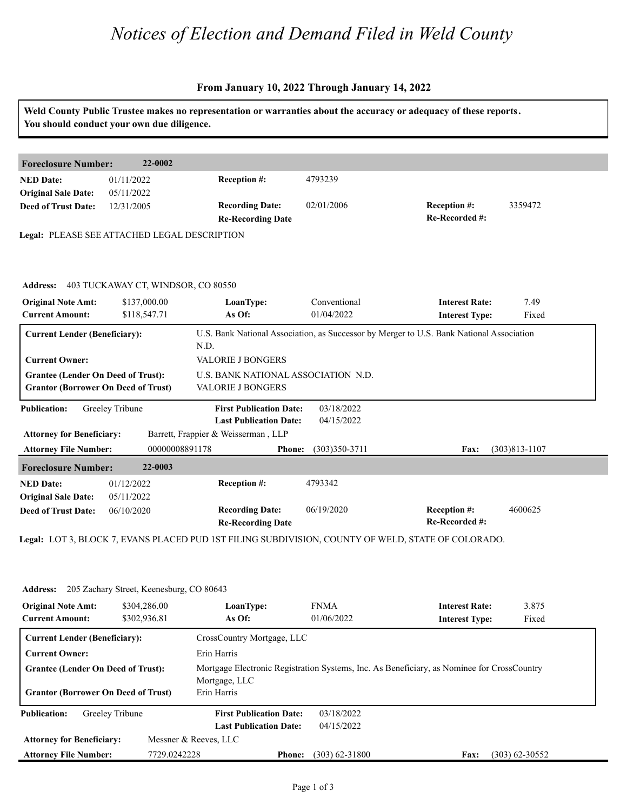## *Notices of Election and Demand Filed in Weld County*

#### **From January 10, 2022 Through January 14, 2022**

|                                                                                                                                                          | You should conduct your own due diligence. |                                                                                                        |                            | Weld County Public Trustee makes no representation or warranties about the accuracy or adequacy of these reports.    |                   |
|----------------------------------------------------------------------------------------------------------------------------------------------------------|--------------------------------------------|--------------------------------------------------------------------------------------------------------|----------------------------|----------------------------------------------------------------------------------------------------------------------|-------------------|
| <b>Foreclosure Number:</b>                                                                                                                               | 22-0002                                    |                                                                                                        |                            |                                                                                                                      |                   |
| <b>NED Date:</b><br><b>Original Sale Date:</b>                                                                                                           | 01/11/2022<br>05/11/2022                   | Reception #:                                                                                           | 4793239                    |                                                                                                                      |                   |
| <b>Deed of Trust Date:</b>                                                                                                                               | 12/31/2005                                 | <b>Recording Date:</b><br><b>Re-Recording Date</b>                                                     | 02/01/2006                 | Reception #:<br>Re-Recorded #:                                                                                       | 3359472           |
| Legal: PLEASE SEE ATTACHED LEGAL DESCRIPTION                                                                                                             |                                            |                                                                                                        |                            |                                                                                                                      |                   |
| <b>Address:</b>                                                                                                                                          | 403 TUCKAWAY CT, WINDSOR, CO 80550         |                                                                                                        |                            |                                                                                                                      |                   |
| <b>Original Note Amt:</b><br><b>Current Amount:</b>                                                                                                      | \$137,000.00<br>\$118,547.71               | LoanType:<br>As Of:                                                                                    | Conventional<br>01/04/2022 | <b>Interest Rate:</b><br><b>Interest Type:</b>                                                                       | 7.49<br>Fixed     |
| <b>Current Lender (Beneficiary):</b><br><b>Current Owner:</b><br><b>Grantee (Lender On Deed of Trust):</b><br><b>Grantor (Borrower On Deed of Trust)</b> |                                            | N.D.<br>VALORIE J BONGERS<br>U.S. BANK NATIONAL ASSOCIATION N.D.<br>VALORIE J BONGERS                  |                            | U.S. Bank National Association, as Successor by Merger to U.S. Bank National Association                             |                   |
| <b>Publication:</b><br><b>Attorney for Beneficiary:</b>                                                                                                  | Greeley Tribune                            | <b>First Publication Date:</b><br><b>Last Publication Date:</b><br>Barrett, Frappier & Weisserman, LLP | 03/18/2022<br>04/15/2022   |                                                                                                                      |                   |
| <b>Attorney File Number:</b><br><b>Foreclosure Number:</b>                                                                                               | 00000008891178<br>22-0003                  | <b>Phone:</b>                                                                                          | $(303)350-3711$            | Fax:                                                                                                                 | $(303)813 - 1107$ |
| <b>NED Date:</b><br><b>Original Sale Date:</b><br><b>Deed of Trust Date:</b>                                                                             | 01/12/2022<br>05/11/2022<br>06/10/2020     | <b>Reception #:</b><br><b>Recording Date:</b>                                                          | 4793342<br>06/19/2020      | Reception #:                                                                                                         | 4600625           |
|                                                                                                                                                          |                                            | <b>Re-Recording Date</b>                                                                               |                            | Re-Recorded #:<br>Legal: LOT 3, BLOCK 7, EVANS PLACED PUD 1ST FILING SUBDIVISION, COUNTY OF WELD, STATE OF COLORADO. |                   |
| <b>Address:</b>                                                                                                                                          | 205 Zachary Street, Keenesburg, CO 80643   |                                                                                                        |                            |                                                                                                                      |                   |
| <b>Original Note Amt:</b><br><b>Current Amount:</b>                                                                                                      | \$304,286.00<br>\$302,936.81               | LoanType:<br>As Of:                                                                                    | <b>FNMA</b><br>01/06/2022  | <b>Interest Rate:</b><br><b>Interest Type:</b>                                                                       | 3.875<br>Fixed    |
| <b>Current Lender (Beneficiary):</b>                                                                                                                     |                                            | CrossCountry Mortgage, LLC                                                                             |                            |                                                                                                                      |                   |
| <b>Current Owner:</b><br><b>Grantee (Lender On Deed of Trust):</b><br><b>Grantor (Borrower On Deed of Trust)</b>                                         |                                            | Erin Harris<br>Mortgage, LLC<br>Erin Harris                                                            |                            | Mortgage Electronic Registration Systems, Inc. As Beneficiary, as Nominee for CrossCountry                           |                   |
| <b>Publication:</b>                                                                                                                                      | Greeley Tribune                            | <b>First Publication Date:</b><br><b>Last Publication Date:</b>                                        | 03/18/2022<br>04/15/2022   |                                                                                                                      |                   |
| <b>Attorney for Beneficiary:</b>                                                                                                                         |                                            | Messner & Reeves, LLC                                                                                  |                            |                                                                                                                      |                   |

**Phone: Fax:** 7729.0242228 (303) 62-31800 (303) 62-30552

**Attorney File Number:**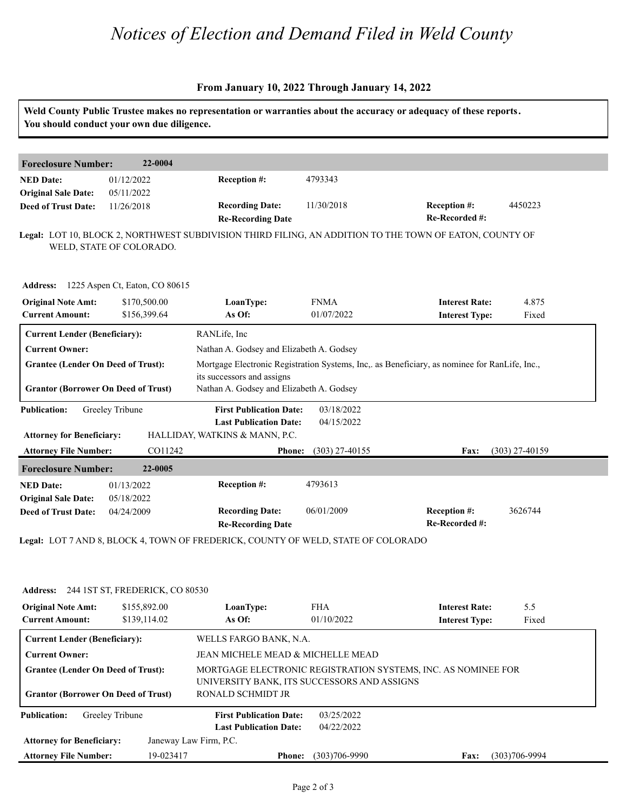## *Notices of Election and Demand Filed in Weld County*

#### **From January 10, 2022 Through January 14, 2022**

| <b>Foreclosure Number:</b>                                                              | 22-0004                                  |                                                                                                              |                           |                                                                                               |                |  |
|-----------------------------------------------------------------------------------------|------------------------------------------|--------------------------------------------------------------------------------------------------------------|---------------------------|-----------------------------------------------------------------------------------------------|----------------|--|
| <b>NED Date:</b><br><b>Original Sale Date:</b>                                          | 01/12/2022<br>05/11/2022                 | Reception #:                                                                                                 | 4793343                   |                                                                                               |                |  |
| <b>Deed of Trust Date:</b>                                                              | 11/26/2018                               | <b>Recording Date:</b><br><b>Re-Recording Date</b>                                                           | 11/30/2018                | Reception #:<br>Re-Recorded #:                                                                | 4450223        |  |
|                                                                                         | WELD, STATE OF COLORADO.                 | Legal: LOT 10, BLOCK 2, NORTHWEST SUBDIVISION THIRD FILING, AN ADDITION TO THE TOWN OF EATON, COUNTY OF      |                           |                                                                                               |                |  |
|                                                                                         | Address: 1225 Aspen Ct, Eaton, CO 80615  |                                                                                                              |                           |                                                                                               |                |  |
| <b>Original Note Amt:</b><br><b>Current Amount:</b>                                     | \$170,500.00<br>\$156,399.64             | LoanType:<br>As Of:                                                                                          | <b>FNMA</b><br>01/07/2022 | <b>Interest Rate:</b><br><b>Interest Type:</b>                                                | 4.875<br>Fixed |  |
| <b>Current Lender (Beneficiary):</b>                                                    |                                          | RANLife, Inc                                                                                                 |                           |                                                                                               |                |  |
| <b>Current Owner:</b>                                                                   |                                          | Nathan A. Godsey and Elizabeth A. Godsey                                                                     |                           |                                                                                               |                |  |
| <b>Grantee (Lender On Deed of Trust):</b>                                               |                                          |                                                                                                              |                           | Mortgage Electronic Registration Systems, Inc., as Beneficiary, as nominee for RanLife, Inc., |                |  |
| <b>Grantor (Borrower On Deed of Trust)</b>                                              |                                          | its successors and assigns<br>Nathan A. Godsey and Elizabeth A. Godsey                                       |                           |                                                                                               |                |  |
| <b>Publication:</b><br><b>Attorney for Beneficiary:</b>                                 | Greeley Tribune                          | <b>First Publication Date:</b><br><b>Last Publication Date:</b><br>HALLIDAY, WATKINS & MANN, P.C.            | 03/18/2022<br>04/15/2022  |                                                                                               |                |  |
| <b>Attorney File Number:</b><br>CO11242                                                 |                                          | $(303)$ 27-40155<br><b>Phone:</b>                                                                            |                           | (303) 27-40159<br><b>Fax:</b>                                                                 |                |  |
| <b>Foreclosure Number:</b>                                                              | 22-0005                                  |                                                                                                              |                           |                                                                                               |                |  |
| <b>NED Date:</b>                                                                        | 01/13/2022                               | Reception #:                                                                                                 | 4793613                   |                                                                                               |                |  |
| <b>Original Sale Date:</b>                                                              | 05/18/2022                               |                                                                                                              |                           |                                                                                               |                |  |
| <b>Deed of Trust Date:</b>                                                              | 04/24/2009                               | <b>Recording Date:</b><br><b>Re-Recording Date</b>                                                           | 06/01/2009                | Reception #:<br>Re-Recorded #:                                                                | 3626744        |  |
|                                                                                         |                                          | Legal: LOT 7 AND 8, BLOCK 4, TOWN OF FREDERICK, COUNTY OF WELD, STATE OF COLORADO                            |                           |                                                                                               |                |  |
|                                                                                         | Address: 244 1ST ST, FREDERICK, CO 80530 |                                                                                                              |                           |                                                                                               |                |  |
| <b>Original Note Amt:</b><br><b>Current Amount:</b>                                     | \$155,892.00<br>\$139,114.02             | LoanType:<br>As Of:                                                                                          | <b>FHA</b><br>01/10/2022  | <b>Interest Rate:</b><br><b>Interest Type:</b>                                                | 5.5<br>Fixed   |  |
| <b>Current Lender (Beneficiary):</b>                                                    |                                          | WELLS FARGO BANK, N.A.                                                                                       |                           |                                                                                               |                |  |
| <b>Current Owner:</b>                                                                   |                                          | JEAN MICHELE MEAD & MICHELLE MEAD                                                                            |                           |                                                                                               |                |  |
| <b>Grantee (Lender On Deed of Trust):</b><br><b>Grantor (Borrower On Deed of Trust)</b> |                                          | MORTGAGE ELECTRONIC REGISTRATION SYSTEMS, INC. AS NOMINEE FOR<br>UNIVERSITY BANK, ITS SUCCESSORS AND ASSIGNS |                           |                                                                                               |                |  |
|                                                                                         |                                          | RONALD SCHMIDT JR                                                                                            |                           |                                                                                               |                |  |
| <b>Publication:</b>                                                                     | Greeley Tribune                          | <b>First Publication Date:</b><br><b>Last Publication Date:</b>                                              | 03/25/2022<br>04/22/2022  |                                                                                               |                |  |
|                                                                                         |                                          |                                                                                                              |                           |                                                                                               |                |  |
| <b>Attorney for Beneficiary:</b>                                                        |                                          | Janeway Law Firm, P.C.                                                                                       |                           |                                                                                               |                |  |